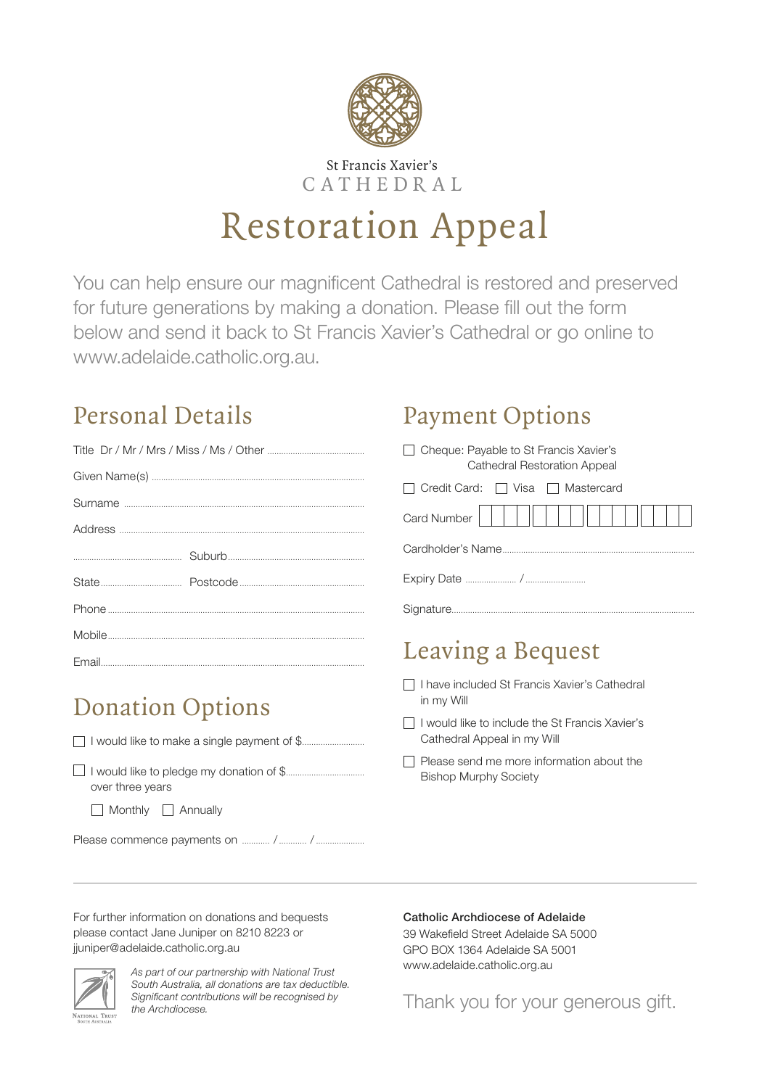

## St Francis Xavier's CATHEDRAL

## Restoration Appeal

You can help ensure our magnificent Cathedral is restored and preserved for future generations by making a donation. Please fill out the form below and send it back to St Francis Xavier's Cathedral or go online to www.adelaide.catholic.org.au.

## Personal Details

## Payment Options

|                         | Cheque: Payable to St Francis Xavier's<br><b>Cathedral Restoration Appeal</b> |
|-------------------------|-------------------------------------------------------------------------------|
|                         | Credit Card: Visa Mastercard                                                  |
|                         | Card Number                                                                   |
|                         |                                                                               |
|                         |                                                                               |
|                         |                                                                               |
|                         |                                                                               |
|                         | Leaving a Bequest                                                             |
| <b>Donation Options</b> | I have included St Francis Xavier's Cathedral<br>in my Will                   |
|                         | I would like to include the St Francis Xavier's                               |
|                         | Cathedral Appeal in my Will                                                   |
| over three years        | Please send me more information about the<br><b>Bishop Murphy Society</b>     |
| Monthly $\Box$ Annually |                                                                               |

For further information on donations and bequests please contact Jane Juniper on 8210 8223 or jjuniper@adelaide.catholic.org.au

Please commence payments on ............ /............ /.....................

*As part of our partnership with National Trust South Australia, all donations are tax deductible. Significant contributions will be recognised by the Archdiocese.*

Catholic Archdiocese of Adelaide

39 Wakefield Street Adelaide SA 5000 GPO BOX 1364 Adelaide SA 5001 www.adelaide.catholic.org.au

Thank you for your generous gift.